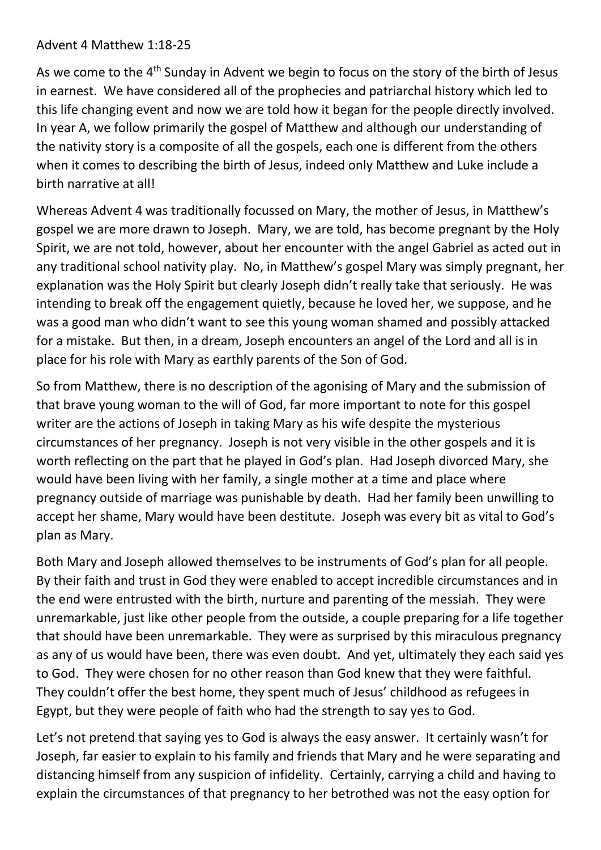## Advent 4 Matthew 1:18-25

As we come to the 4<sup>th</sup> Sunday in Advent we begin to focus on the story of the birth of Jesus in earnest. We have considered all of the prophecies and patriarchal history which led to this life changing event and now we are told how it began for the people directly involved. In year A, we follow primarily the gospel of Matthew and although our understanding of the nativity story is a composite of all the gospels, each one is different from the others when it comes to describing the birth of Jesus, indeed only Matthew and Luke include a birth narrative at all!

Whereas Advent 4 was traditionally focussed on Mary, the mother of Jesus, in Matthew's gospel we are more drawn to Joseph. Mary, we are told, has become pregnant by the Holy Spirit, we are not told, however, about her encounter with the angel Gabriel as acted out in any traditional school nativity play. No, in Matthew's gospel Mary was simply pregnant, her explanation was the Holy Spirit but clearly Joseph didn't really take that seriously. He was intending to break off the engagement quietly, because he loved her, we suppose, and he was a good man who didn't want to see this young woman shamed and possibly attacked for a mistake. But then, in a dream, Joseph encounters an angel of the Lord and all is in place for his role with Mary as earthly parents of the Son of God.

So from Matthew, there is no description of the agonising of Mary and the submission of that brave young woman to the will of God, far more important to note for this gospel writer are the actions of Joseph in taking Mary as his wife despite the mysterious circumstances of her pregnancy. Joseph is not very visible in the other gospels and it is worth reflecting on the part that he played in God's plan. Had Joseph divorced Mary, she would have been living with her family, a single mother at a time and place where pregnancy outside of marriage was punishable by death. Had her family been unwilling to accept her shame, Mary would have been destitute. Joseph was every bit as vital to God's plan as Mary.

Both Mary and Joseph allowed themselves to be instruments of God's plan for all people. By their faith and trust in God they were enabled to accept incredible circumstances and in the end were entrusted with the birth, nurture and parenting of the messiah. They were unremarkable, just like other people from the outside, a couple preparing for a life together that should have been unremarkable. They were as surprised by this miraculous pregnancy as any of us would have been, there was even doubt. And yet, ultimately they each said yes to God. They were chosen for no other reason than God knew that they were faithful. They couldn't offer the best home, they spent much of Jesus' childhood as refugees in Egypt, but they were people of faith who had the strength to say yes to God.

Let's not pretend that saying yes to God is always the easy answer. It certainly wasn't for Joseph, far easier to explain to his family and friends that Mary and he were separating and distancing himself from any suspicion of infidelity. Certainly, carrying a child and having to explain the circumstances of that pregnancy to her betrothed was not the easy option for